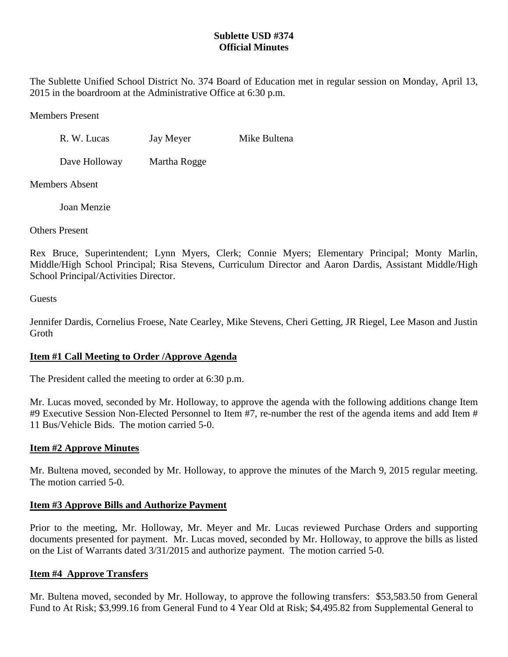## **Sublette USD #374 Official Minutes**

The Sublette Unified School District No. 374 Board of Education met in regular session on Monday, April 13, 2015 in the boardroom at the Administrative Office at 6:30 p.m.

Members Present

R. W. Lucas Jay Meyer Mike Bultena

Dave Holloway Martha Rogge

Members Absent

Joan Menzie

Others Present

Rex Bruce, Superintendent; Lynn Myers, Clerk; Connie Myers; Elementary Principal; Monty Marlin, Middle/High School Principal; Risa Stevens, Curriculum Director and Aaron Dardis, Assistant Middle/High School Principal/Activities Director.

Guests

Jennifer Dardis, Cornelius Froese, Nate Cearley, Mike Stevens, Cheri Getting, JR Riegel, Lee Mason and Justin Groth

# **Item #1 Call Meeting to Order /Approve Agenda**

The President called the meeting to order at 6:30 p.m.

Mr. Lucas moved, seconded by Mr. Holloway, to approve the agenda with the following additions change Item #9 Executive Session Non-Elected Personnel to Item #7, re-number the rest of the agenda items and add Item # 11 Bus/Vehicle Bids. The motion carried 5-0.

# **Item #2 Approve Minutes**

Mr. Bultena moved, seconded by Mr. Holloway, to approve the minutes of the March 9, 2015 regular meeting. The motion carried 5-0.

# **Item #3 Approve Bills and Authorize Payment**

Prior to the meeting, Mr. Holloway, Mr. Meyer and Mr. Lucas reviewed Purchase Orders and supporting documents presented for payment. Mr. Lucas moved, seconded by Mr. Holloway, to approve the bills as listed on the List of Warrants dated 3/31/2015 and authorize payment. The motion carried 5-0.

# **Item #4 Approve Transfers**

Mr. Bultena moved, seconded by Mr. Holloway, to approve the following transfers: \$53,583.50 from General Fund to At Risk; \$3,999.16 from General Fund to 4 Year Old at Risk; \$4,495.82 from Supplemental General to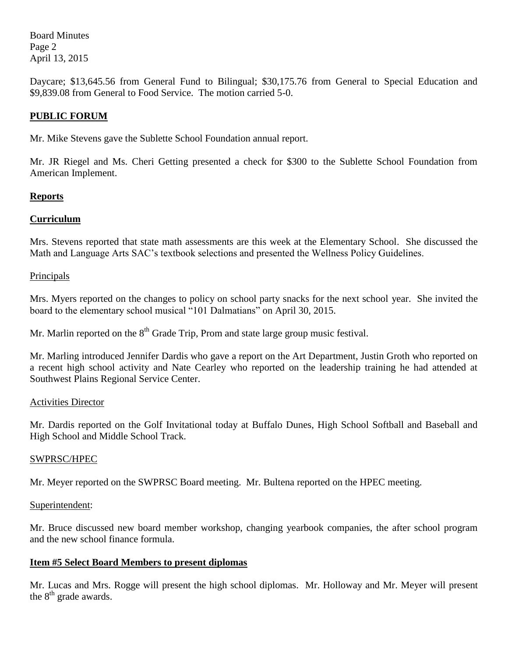Board Minutes Page 2 April 13, 2015

Daycare; \$13,645.56 from General Fund to Bilingual; \$30,175.76 from General to Special Education and \$9,839.08 from General to Food Service. The motion carried 5-0.

## **PUBLIC FORUM**

Mr. Mike Stevens gave the Sublette School Foundation annual report.

Mr. JR Riegel and Ms. Cheri Getting presented a check for \$300 to the Sublette School Foundation from American Implement.

### **Reports**

### **Curriculum**

Mrs. Stevens reported that state math assessments are this week at the Elementary School. She discussed the Math and Language Arts SAC's textbook selections and presented the Wellness Policy Guidelines.

#### **Principals**

Mrs. Myers reported on the changes to policy on school party snacks for the next school year. She invited the board to the elementary school musical "101 Dalmatians" on April 30, 2015.

Mr. Marlin reported on the  $8<sup>th</sup>$  Grade Trip, Prom and state large group music festival.

Mr. Marling introduced Jennifer Dardis who gave a report on the Art Department, Justin Groth who reported on a recent high school activity and Nate Cearley who reported on the leadership training he had attended at Southwest Plains Regional Service Center.

#### Activities Director

Mr. Dardis reported on the Golf Invitational today at Buffalo Dunes, High School Softball and Baseball and High School and Middle School Track.

#### SWPRSC/HPEC

Mr. Meyer reported on the SWPRSC Board meeting. Mr. Bultena reported on the HPEC meeting.

#### Superintendent:

Mr. Bruce discussed new board member workshop, changing yearbook companies, the after school program and the new school finance formula.

### **Item #5 Select Board Members to present diplomas**

Mr. Lucas and Mrs. Rogge will present the high school diplomas. Mr. Holloway and Mr. Meyer will present the  $8<sup>th</sup>$  grade awards.